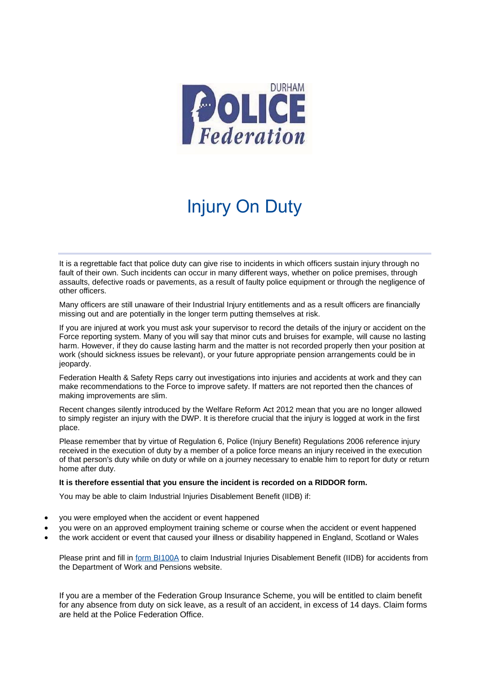

## Injury On Duty

It is a regrettable fact that police duty can give rise to incidents in which officers sustain injury through no fault of their own. Such incidents can occur in many different ways, whether on police premises, through assaults, defective roads or pavements, as a result of faulty police equipment or through the negligence of other officers.

Many officers are still unaware of their Industrial Injury entitlements and as a result officers are financially missing out and are potentially in the longer term putting themselves at risk.

If you are injured at work you must ask your supervisor to record the details of the injury or accident on the Force reporting system. Many of you will say that minor cuts and bruises for example, will cause no lasting harm. However, if they do cause lasting harm and the matter is not recorded properly then your position at work (should sickness issues be relevant), or your future appropriate pension arrangements could be in jeopardy.

Federation Health & Safety Reps carry out investigations into injuries and accidents at work and they can make recommendations to the Force to improve safety. If matters are not reported then the chances of making improvements are slim.

Recent changes silently introduced by the Welfare Reform Act 2012 mean that you are no longer allowed to simply register an injury with the DWP. It is therefore crucial that the injury is logged at work in the first place.

Please remember that by virtue of Regulation 6, Police (Injury Benefit) Regulations 2006 reference injury received in the execution of duty by a member of a police force means an injury received in the execution of that person's duty while on duty or while on a journey necessary to enable him to report for duty or return home after duty.

## **It is therefore essential that you ensure the incident is recorded on a RIDDOR form.**

You may be able to claim Industrial Injuries Disablement Benefit (IIDB) if:

- you were employed when the accident or event happened
- you were on an approved employment training scheme or course when the accident or event happened
- the work accident or event that caused your illness or disability happened in England, Scotland or Wales

Please print and fill in [form BI100A](https://www.gov.uk/government/publications/industrial-injuries-disablement-benefit-claim-forms) to claim Industrial Injuries Disablement Benefit (IIDB) for accidents from the Department of Work and Pensions website.

If you are a member of the Federation Group Insurance Scheme, you will be entitled to claim benefit for any absence from duty on sick leave, as a result of an accident, in excess of 14 days. Claim forms are held at the Police Federation Office.